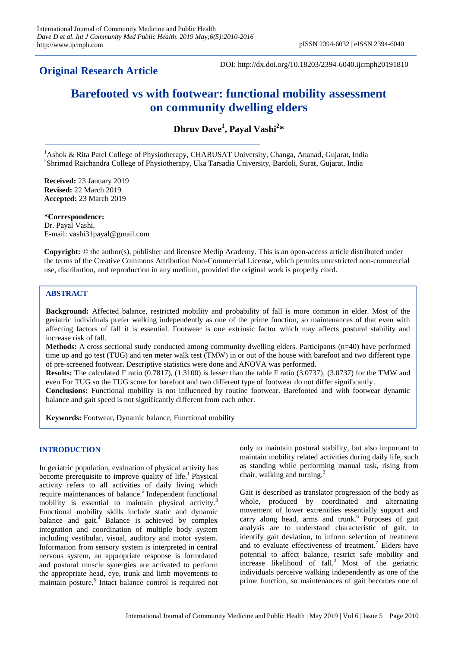# **Original Research Article**

DOI: http://dx.doi.org/10.18203/2394-6040.ijcmph20191810

# **Barefooted vs with footwear: functional mobility assessment on community dwelling elders**

**Dhruv Dave<sup>1</sup> , Payal Vashi<sup>2</sup> \***

<sup>1</sup> Ashok & Rita Patel College of Physiotherapy, CHARUSAT University, Changa, Ananad, Gujarat, India 2 Shrimad Rajchandra College of Physiotherapy, Uka Tarsadia University, Bardoli, Surat, Gujarat, India

**Received:** 23 January 2019 **Revised:** 22 March 2019 **Accepted:** 23 March 2019

**\*Correspondence:** Dr. Payal Vashi, E-mail: vashi31payal@gmail.com

**Copyright:** © the author(s), publisher and licensee Medip Academy. This is an open-access article distributed under the terms of the Creative Commons Attribution Non-Commercial License, which permits unrestricted non-commercial use, distribution, and reproduction in any medium, provided the original work is properly cited.

# **ABSTRACT**

**Background:** Affected balance, restricted mobility and probability of fall is more common in elder. Most of the geriatric individuals prefer walking independently as one of the prime function, so maintenances of that even with affecting factors of fall it is essential. Footwear is one extrinsic factor which may affects postural stability and increase risk of fall.

**Methods:** A cross sectional study conducted among community dwelling elders. Participants (n=40) have performed time up and go test (TUG) and ten meter walk test (TMW) in or out of the house with barefoot and two different type of pre-screened footwear. Descriptive statistics were done and ANOVA was performed.

**Results:** The calculated F ratio (0.7817), (1.3100) is lesser than the table F ratio (3.0737), (3.0737) for the TMW and even For TUG so the TUG score for barefoot and two different type of footwear do not differ significantly.

**Conclusions:** Functional mobility is not influenced by routine footwear. Barefooted and with footwear dynamic balance and gait speed is not significantly different from each other.

**Keywords:** Footwear, Dynamic balance, Functional mobility

## **INTRODUCTION**

In geriatric population, evaluation of physical activity has become prerequisite to improve quality of life.<sup>1</sup> Physical activity refers to all activities of daily living which require maintenances of balance.<sup>2</sup> Independent functional mobility is essential to maintain physical activity.<sup>3</sup> Functional mobility skills include static and dynamic balance and gait. $\stackrel{1}{\sim}$  Balance is achieved by complex integration and coordination of multiple body system including vestibular, visual, auditory and motor system. Information from sensory system is interpreted in central nervous system, an appropriate response is formulated and postural muscle synergies are activated to perform the appropriate head, eye, trunk and limb movements to maintain posture.<sup>5</sup> Intact balance control is required not only to maintain postural stability, but also important to maintain mobility related activities during daily life, such as standing while performing manual task, rising from chair, walking and turning.<sup>3</sup>

Gait is described as translator progression of the body as whole, produced by coordinated and alternating movement of lower extremities essentially support and carry along head, arms and trunk.<sup>6</sup> Purposes of gait analysis are to understand characteristic of gait, to identify gait deviation, to inform selection of treatment and to evaluate effectiveness of treatment.<sup>7</sup> Elders have potential to affect balance, restrict safe mobility and increase likelihood of  $fall.^2$  Most of the geriatric individuals perceive walking independently as one of the prime function, so maintenances of gait becomes one of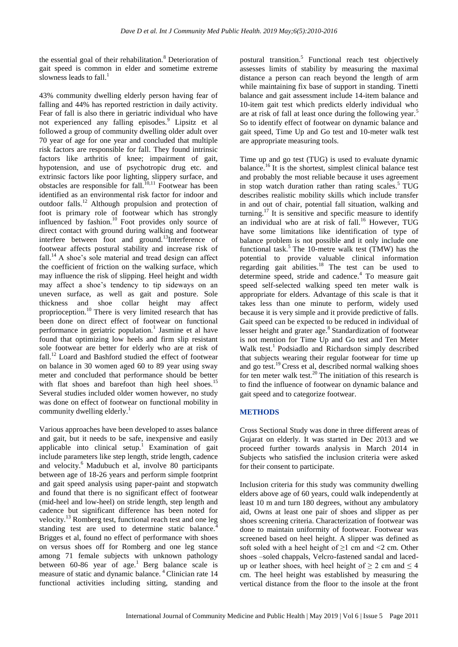the essential goal of their rehabilitation.<sup>8</sup> Deterioration of gait speed is common in elder and sometime extreme slowness leads to fall. $<sup>1</sup>$ </sup>

43% community dwelling elderly person having fear of falling and 44% has reported restriction in daily activity. Fear of fall is also there in geriatric individual who have not experienced any falling episodes.<sup>9</sup> Lipsitz et al followed a group of community dwelling older adult over 70 year of age for one year and concluded that multiple risk factors are responsible for fall. They found intrinsic factors like arthritis of knee; impairment of gait, hypotension, and use of psychotropic drug etc. and extrinsic factors like poor lighting, slippery surface, and obstacles are responsible for fall.<sup>10,11</sup> Footwear has been identified as an environmental risk factor for indoor and outdoor falls.<sup>12</sup> Although propulsion and protection of foot is primary role of footwear which has strongly influenced by fashion.<sup>10</sup> Foot provides only source of direct contact with ground during walking and footwear interfere between foot and ground.<sup>13</sup>Interference of footwear affects postural stability and increase risk of fall.<sup>14</sup> A shoe's sole material and tread design can affect the coefficient of friction on the walking surface, which may influence the risk of slipping. Heel height and width may affect a shoe"s tendency to tip sideways on an uneven surface, as well as gait and posture. Sole thickness and shoe collar height may affect proprioception.<sup>10</sup> There is very limited research that has been done on direct effect of footwear on functional performance in geriatric population.<sup>1</sup> Jasmine et al have found that optimizing low heels and firm slip resistant sole footwear are better for elderly who are at risk of fall.<sup>12</sup> Loard and Bashford studied the effect of footwear on balance in 30 women aged 60 to 89 year using sway meter and concluded that performance should be better with flat shoes and barefoot than high heel shoes.<sup>15</sup> Several studies included older women however, no study was done on effect of footwear on functional mobility in community dwelling elderly.<sup>1</sup>

Various approaches have been developed to asses balance and gait, but it needs to be safe, inexpensive and easily applicable into clinical setup.<sup>1</sup> Examination of gait include parameters like step length, stride length, cadence and velocity.<sup>6</sup> Madubuch et al, involve 80 participants between age of 18-26 years and perform simple footprint and gait speed analysis using paper-paint and stopwatch and found that there is no significant effect of footwear (mid-heel and low-heel) on stride length, step length and cadence but significant difference has been noted for velocity.<sup>13</sup> Romberg test, functional reach test and one leg standing test are used to determine static balance.<sup>4</sup> Brigges et al, found no effect of performance with shoes on versus shoes off for Romberg and one leg stance among 71 female subjects with unknown pathology between  $60-86$  year of age.<sup>1</sup> Berg balance scale is measure of static and dynamic balance.<sup>4</sup> Clinician rate 14 functional activities including sitting, standing and

postural transition.<sup>5</sup> Functional reach test objectively assesses limits of stability by measuring the maximal distance a person can reach beyond the length of arm while maintaining fix base of support in standing. Tinetti balance and gait assessment include 14-item balance and 10-item gait test which predicts elderly individual who are at risk of fall at least once during the following year.<sup>5</sup> So to identify effect of footwear on dynamic balance and gait speed, Time Up and Go test and 10-meter walk test are appropriate measuring tools.

Time up and go test (TUG) is used to evaluate dynamic balance.<sup>16</sup> It is the shortest, simplest clinical balance test and probably the most reliable because it uses agreement in stop watch duration rather than rating scales.<sup>5</sup> TUG describes realistic mobility skills which include transfer in and out of chair, potential fall situation, walking and turning.<sup>17</sup> It is sensitive and specific measure to identify an individual who are at risk of fall.<sup>16</sup> However, TUG have some limitations like identification of type of balance problem is not possible and it only include one functional task.<sup>5</sup> The 10-metre walk test (TMW) has the potential to provide valuable clinical information regarding gait abilities.<sup>18</sup> The test can be used to determine speed, stride and cadence.<sup>4</sup> To measure gait speed self-selected walking speed ten meter walk is appropriate for elders. Advantage of this scale is that it takes less than one minute to perform, widely used because it is very simple and it provide predictive of falls. Gait speed can be expected to be reduced in individual of lesser height and grater age.<sup>8</sup> Standardization of footwear is not mention for Time Up and Go test and Ten Meter Walk test.<sup>1</sup> Podsiadlo and Richardson simply described that subjects wearing their regular footwear for time up and go test.<sup>19</sup> Cress et al, described normal walking shoes for ten meter walk test.<sup>20</sup> The initiation of this research is to find the influence of footwear on dynamic balance and gait speed and to categorize footwear.

# **METHODS**

Cross Sectional Study was done in three different areas of Gujarat on elderly. It was started in Dec 2013 and we proceed further towards analysis in March 2014 in Subjects who satisfied the inclusion criteria were asked for their consent to participate.

Inclusion criteria for this study was community dwelling elders above age of 60 years, could walk independently at least 10 m and turn 180 degrees, without any ambulatory aid, Owns at least one pair of shoes and slipper as per shoes screening criteria. Characterization of footwear was done to maintain uniformity of footwear. Footwear was screened based on heel height. A slipper was defined as soft soled with a heel height of  $\geq 1$  cm and  $\leq 2$  cm. Other shoes –soled chappals, Velcro-fastened sandal and lacedup or leather shoes, with heel height of  $\geq 2$  cm and  $\leq 4$ cm. The heel height was established by measuring the vertical distance from the floor to the insole at the front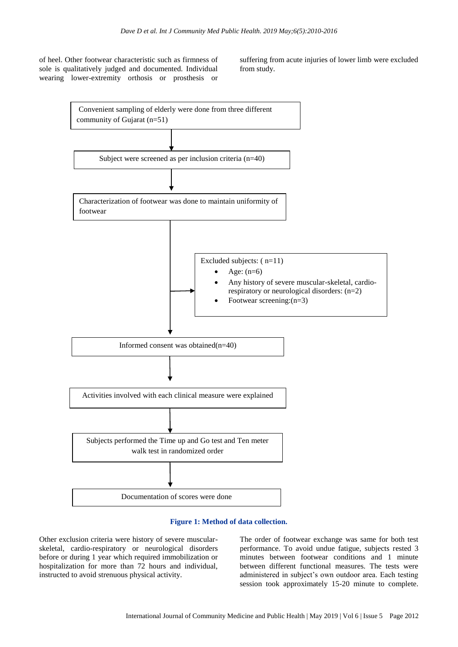of heel. Other footwear characteristic such as firmness of sole is qualitatively judged and documented. Individual wearing lower-extremity orthosis or prosthesis or

suffering from acute injuries of lower limb were excluded from study.



#### **Figure 1: Method of data collection.**

Other exclusion criteria were history of severe muscularskeletal, cardio-respiratory or neurological disorders before or during 1 year which required immobilization or hospitalization for more than 72 hours and individual, instructed to avoid strenuous physical activity.

The order of footwear exchange was same for both test performance. To avoid undue fatigue, subjects rested 3 minutes between footwear conditions and 1 minute between different functional measures. The tests were administered in subject"s own outdoor area. Each testing session took approximately 15-20 minute to complete.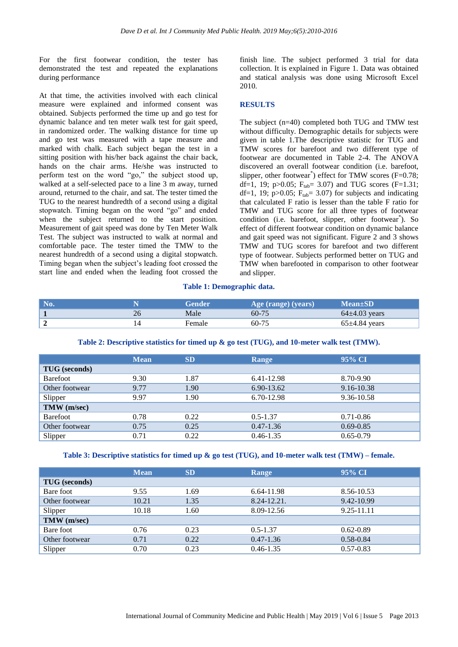For the first footwear condition, the tester has demonstrated the test and repeated the explanations during performance

At that time, the activities involved with each clinical measure were explained and informed consent was obtained. Subjects performed the time up and go test for dynamic balance and ten meter walk test for gait speed, in randomized order. The walking distance for time up and go test was measured with a tape measure and marked with chalk. Each subject began the test in a sitting position with his/her back against the chair back, hands on the chair arms. He/she was instructed to perform test on the word "go," the subject stood up, walked at a self-selected pace to a line 3 m away, turned around, returned to the chair, and sat. The tester timed the TUG to the nearest hundredth of a second using a digital stopwatch. Timing began on the word "go" and ended when the subject returned to the start position. Measurement of gait speed was done by Ten Meter Walk Test. The subject was instructed to walk at normal and comfortable pace. The tester timed the TMW to the nearest hundredth of a second using a digital stopwatch. Timing began when the subject"s leading foot crossed the start line and ended when the leading foot crossed the

finish line. The subject performed 3 trial for data collection. It is explained in Figure 1. Data was obtained and statical analysis was done using Microsoft Excel 2010.

#### **RESULTS**

The subject (n=40) completed both TUG and TMW test without difficulty. Demographic details for subjects were given in table 1.The descriptive statistic for TUG and TMW scores for barefoot and two different type of footwear are documented in Table 2-4. The ANOVA discovered an overall footwear condition (i.e. barefoot, slipper, other footwear<sup>\*</sup>) effect for TMW scores (F=0.78; df=1, 19; p>0.05;  $F_{tab} = 3.07$  and TUG scores (F=1.31; df=1, 19; p>0.05;  $F_{tab} = 3.07$ ) for subjects and indicating that calculated F ratio is lesser than the table F ratio for TMW and TUG score for all three types of footwear condition (i.e. barefoot, slipper, other footwear\* ). So effect of different footwear condition on dynamic balance and gait speed was not significant. Figure 2 and 3 shows TMW and TUG scores for barefoot and two different type of footwear. Subjects performed better on TUG and TMW when barefooted in comparison to other footwear and slipper.

#### **Table 1: Demographic data.**

| $\bf No$ | Gender | Age (range) (years) | $Mean \pm SD$     |
|----------|--------|---------------------|-------------------|
|          | Male   | $60 - 75$           | $64\pm4.03$ years |
|          | Female | 60-75               | $65\pm4.84$ years |

| Table 2: Descriptive statistics for timed up & go test (TUG), and 10-meter walk test (TMW). |  |  |
|---------------------------------------------------------------------------------------------|--|--|
|---------------------------------------------------------------------------------------------|--|--|

|                      | <b>Mean</b> | <b>SD</b> | Range         | 95% CI        |  |
|----------------------|-------------|-----------|---------------|---------------|--|
| <b>TUG</b> (seconds) |             |           |               |               |  |
| <b>Barefoot</b>      | 9.30        | 1.87      | 6.41-12.98    | 8.70-9.90     |  |
| Other footwear       | 9.77        | 1.90      | 6.90-13.62    | 9.16-10.38    |  |
| Slipper              | 9.97        | 1.90      | 6.70-12.98    | 9.36-10.58    |  |
| TMW (m/sec)          |             |           |               |               |  |
| <b>Barefoot</b>      | 0.78        | 0.22      | $0.5 - 1.37$  | $0.71 - 0.86$ |  |
| Other footwear       | 0.75        | 0.25      | $0.47 - 1.36$ | $0.69 - 0.85$ |  |
| Slipper              | 0.71        | 0.22      | $0.46 - 1.35$ | $0.65 - 0.79$ |  |

#### **Table 3: Descriptive statistics for timed up & go test (TUG), and 10-meter walk test (TMW) – female.**

|                      | <b>Mean</b> | <b>SD</b> | Range            | 95% CI        |
|----------------------|-------------|-----------|------------------|---------------|
| <b>TUG</b> (seconds) |             |           |                  |               |
| Bare foot            | 9.55        | 1.69      | 6.64-11.98       | 8.56-10.53    |
| Other footwear       | 10.21       | 1.35      | $8.24 - 12.21$ . | 9.42-10.99    |
| Slipper              | 10.18       | 1.60      | 8.09-12.56       | 9.25-11.11    |
| TMW (m/sec)          |             |           |                  |               |
| Bare foot            | 0.76        | 0.23      | $0.5 - 1.37$     | $0.62 - 0.89$ |
| Other footwear       | 0.71        | 0.22      | $0.47 - 1.36$    | $0.58 - 0.84$ |
| Slipper              | 0.70        | 0.23      | $0.46 - 1.35$    | $0.57 - 0.83$ |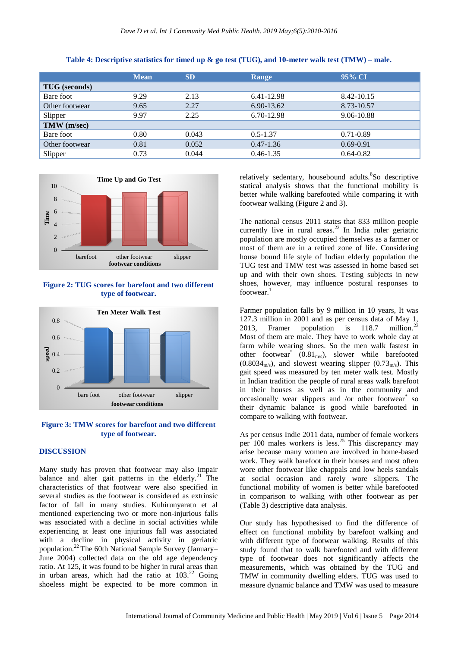|                      | <b>Mean</b> | <b>SD</b> | Range         | 95% CI        |
|----------------------|-------------|-----------|---------------|---------------|
| <b>TUG</b> (seconds) |             |           |               |               |
| Bare foot            | 9.29        | 2.13      | 6.41-12.98    | 8.42-10.15    |
| Other footwear       | 9.65        | 2.27      | 6.90-13.62    | 8.73-10.57    |
| Slipper              | 9.97        | 2.25      | 6.70-12.98    | 9.06-10.88    |
| TMW (m/sec)          |             |           |               |               |
| Bare foot            | 0.80        | 0.043     | $0.5 - 1.37$  | $0.71 - 0.89$ |
| Other footwear       | 0.81        | 0.052     | $0.47 - 1.36$ | $0.69 - 0.91$ |
| Slipper              | 0.73        | 0.044     | $0.46 - 1.35$ | $0.64 - 0.82$ |





**Figure 2: TUG scores for barefoot and two different type of footwear.**



**Figure 3: TMW scores for barefoot and two different type of footwear.**

### **DISCUSSION**

Many study has proven that footwear may also impair balance and alter gait patterns in the elderly.<sup>21</sup> The characteristics of that footwear were also specified in several studies as the footwear is considered as extrinsic factor of fall in many studies. Kuhirunyaratn et al mentioned experiencing two or more non-injurious falls was associated with a decline in social activities while experiencing at least one injurious fall was associated with a decline in physical activity in geriatric population.<sup>22</sup> The 60th National Sample Survey (January– June 2004) collected data on the old age dependency ratio. At 125, it was found to be higher in rural areas than in urban areas, which had the ratio at  $103<sup>22</sup>$  Going shoeless might be expected to be more common in

relatively sedentary, housebound adults. <sup>8</sup>So descriptive statical analysis shows that the functional mobility is better while walking barefooted while comparing it with footwear walking (Figure 2 and 3).

The national census 2011 states that 833 million people currently live in rural areas.<sup>22</sup> In India ruler geriatric population are mostly occupied themselves as a farmer or most of them are in a retired zone of life. Considering house bound life style of Indian elderly population the TUG test and TMW test was assessed in home based set up and with their own shoes. Testing subjects in new shoes, however, may influence postural responses to footwear.<sup>1</sup>

Farmer population falls by 9 million in 10 years, It was 127.3 million in 2001 and as per census data of May 1, 2013, Framer population is  $118.7$  million.<sup>23</sup> 2013, Framer population is 118.7 Most of them are male. They have to work whole day at farm while wearing shoes. So the men walk fastest in other footwear<sup>\*</sup> (0.81<sub>m/s</sub>), slower while barefooted  $(0.8034<sub>m/s</sub>)$ , and slowest wearing slipper  $(0.73<sub>m/s</sub>)$ . This gait speed was measured by ten meter walk test. Mostly in Indian tradition the people of rural areas walk barefoot in their houses as well as in the community and occasionally wear slippers and /or other footwear\* so their dynamic balance is good while barefooted in compare to walking with footwear.

As per census Indie 2011 data, number of female workers per 100 males workers is less.<sup>25</sup> This discrepancy may arise because many women are involved in home-based work. They walk barefoot in their houses and most often wore other footwear like chappals and low heels sandals at social occasion and rarely wore slippers. The functional mobility of women is better while barefooted in comparison to walking with other footwear as per (Table 3) descriptive data analysis.

Our study has hypothesised to find the difference of effect on functional mobility by barefoot walking and with different type of footwear walking. Results of this study found that to walk barefooted and with different type of footwear does not significantly affects the measurements, which was obtained by the TUG and TMW in community dwelling elders. TUG was used to measure dynamic balance and TMW was used to measure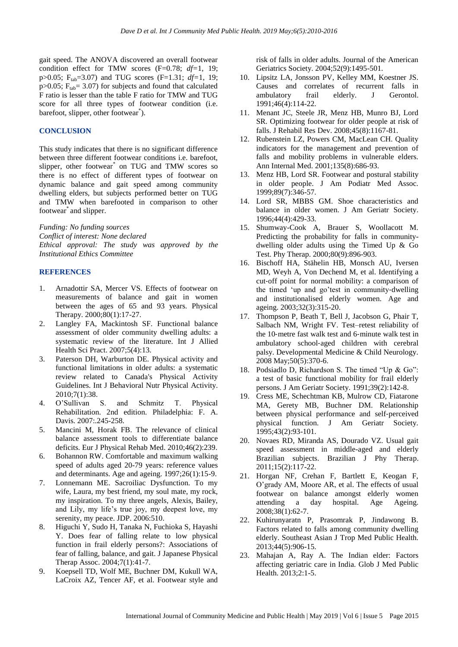gait speed. The ANOVA discovered an overall footwear condition effect for TMW scores (F=0.78; *df=*1, 19; p>0.05; Ftab=3.07) and TUG scores (F=1.31; *df=*1, 19; p $>0.05$ ;  $F_{tab} = 3.07$  for subjects and found that calculated F ratio is lesser than the table F ratio for TMW and TUG score for all three types of footwear condition (i.e. barefoot, slipper, other footwear<sup>\*</sup>).

#### **CONCLUSION**

This study indicates that there is no significant difference between three different footwear conditions i.e. barefoot, slipper, other footwear<sup>\*</sup> on TUG and TMW scores so there is no effect of different types of footwear on dynamic balance and gait speed among community dwelling elders, but subjects performed better on TUG and TMW when barefooted in comparison to other footwear\* and slipper.

*Funding: No funding sources Conflict of interest: None declared Ethical approval: The study was approved by the Institutional Ethics Committee*

#### **REFERENCES**

- 1. Arnadottir SA, Mercer VS. Effects of footwear on measurements of balance and gait in women between the ages of 65 and 93 years. Physical Therapy. 2000;80(1):17-27.
- 2. Langley FA, Mackintosh SF. Functional balance assessment of older community dwelling adults: a systematic review of the literature. Int J Allied Health Sci Pract. 2007;5(4):13.
- 3. Paterson DH, Warburton DE. Physical activity and functional limitations in older adults: a systematic review related to Canada's Physical Activity Guidelines. Int J Behavioral Nutr Physical Activity. 2010;7(1):38.
- 4. O"Sullivan S. and Schmitz T. Physical Rehabilitation. 2nd edition. Philadelphia: F. A. Davis. 2007:.245-258.
- 5. Mancini M, Horak FB. The relevance of clinical balance assessment tools to differentiate balance deficits. Eur J Physical Rehab Med. 2010;46(2):239.
- 6. Bohannon RW. Comfortable and maximum walking speed of adults aged 20-79 years: reference values and determinants. Age and ageing. 1997;26(1):15-9.
- 7. Lonnemann ME. Sacroiliac Dysfunction. To my wife, Laura, my best friend, my soul mate, my rock, my inspiration. To my three angels, Alexis, Bailey, and Lily, my life's true joy, my deepest love, my serenity, my peace. JDP. 2006:510.
- 8. Higuchi Y, Sudo H, Tanaka N, Fuchioka S, Hayashi Y. Does fear of falling relate to low physical function in frail elderly persons?: Associations of fear of falling, balance, and gait. J Japanese Physical Therap Assoc. 2004;7(1):41-7.
- 9. Koepsell TD, Wolf ME, Buchner DM, Kukull WA, LaCroix AZ, Tencer AF, et al. Footwear style and

risk of falls in older adults. Journal of the American Geriatrics Society. 2004;52(9):1495-501.

- 10. Lipsitz LA, Jonsson PV, Kelley MM, Koestner JS. Causes and correlates of recurrent falls in ambulatory frail elderly. J Gerontol. 1991;46(4):114-22.
- 11. Menant JC, Steele JR, Menz HB, Munro BJ, Lord SR. Optimizing footwear for older people at risk of falls. J Rehabil Res Dev. 2008;45(8):1167-81.
- 12. Rubenstein LZ, Powers CM, MacLean CH. Quality indicators for the management and prevention of falls and mobility problems in vulnerable elders. Ann Internal Med. 2001;135(8):686-93.
- 13. Menz HB, Lord SR. Footwear and postural stability in older people. J Am Podiatr Med Assoc. 1999;89(7):346-57.
- 14. Lord SR, MBBS GM. Shoe characteristics and balance in older women. J Am Geriatr Society. 1996;44(4):429-33.
- 15. Shumway-Cook A, Brauer S, Woollacott M. Predicting the probability for falls in communitydwelling older adults using the Timed Up & Go Test. Phy Therap. 2000;80(9):896-903.
- 16. Bischoff HA, Stähelin HB, Monsch AU, Iversen MD, Weyh A, Von Dechend M, et al. Identifying a cut‐off point for normal mobility: a comparison of the timed "up and go"test in community‐dwelling and institutionalised elderly women. Age and ageing. 2003;32(3):315-20.
- 17. Thompson P, Beath T, Bell J, Jacobson G, Phair T, Salbach NM, Wright FV. Test–retest reliability of the 10‐metre fast walk test and 6‐minute walk test in ambulatory school‐aged children with cerebral palsy. Developmental Medicine & Child Neurology. 2008 May;50(5):370-6.
- 18. Podsiadlo D, Richardson S. The timed "Up & Go": a test of basic functional mobility for frail elderly persons. J Am Geriatr Society. 1991;39(2):142-8.
- 19. Cress ME, Schechtman KB, Mulrow CD, Fiatarone MA, Gerety MB, Buchner DM. Relationship between physical performance and self‐perceived physical function. J Am Geriatr Society. 1995;43(2):93-101.
- 20. Novaes RD, Miranda AS, Dourado VZ. Usual gait speed assessment in middle-aged and elderly Brazilian subjects. Brazilian J Phy Therap. 2011;15(2):117-22.
- 21. Horgan NF, Crehan F, Bartlett E, Keogan F, O"grady AM, Moore AR, et al. The effects of usual footwear on balance amongst elderly women attending a day hospital. Age Ageing. 2008;38(1):62-7.
- 22. Kuhirunyaratn P, Prasomrak P, Jindawong B. Factors related to falls among community dwelling elderly. Southeast Asian J Trop Med Public Health. 2013;44(5):906-15.
- 23. Mahajan A, Ray A. The Indian elder: Factors affecting geriatric care in India. Glob J Med Public Health. 2013;2:1-5.